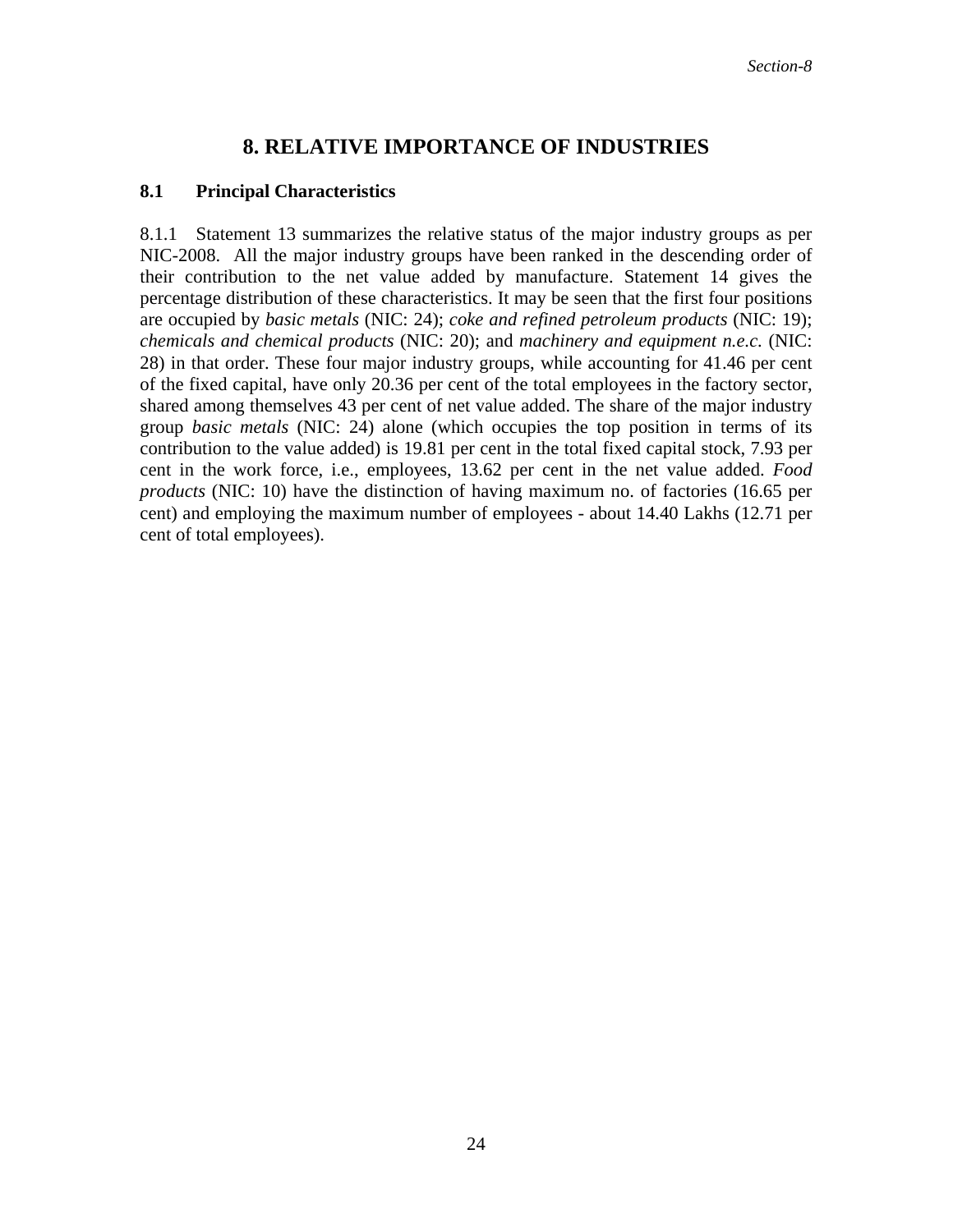## **8. RELATIVE IMPORTANCE OF INDUSTRIES**

## **8.1 Principal Characteristics**

8.1.1 Statement 13 summarizes the relative status of the major industry groups as per NIC-2008. All the major industry groups have been ranked in the descending order of their contribution to the net value added by manufacture. Statement 14 gives the percentage distribution of these characteristics. It may be seen that the first four positions are occupied by *basic metals* (NIC: 24); *coke and refined petroleum products* (NIC: 19); *chemicals and chemical products* (NIC: 20); and *machinery and equipment n.e.c.* (NIC: 28) in that order. These four major industry groups, while accounting for 41.46 per cent of the fixed capital, have only 20.36 per cent of the total employees in the factory sector, shared among themselves 43 per cent of net value added. The share of the major industry group *basic metals* (NIC: 24) alone (which occupies the top position in terms of its contribution to the value added) is 19.81 per cent in the total fixed capital stock, 7.93 per cent in the work force, i.e., employees, 13.62 per cent in the net value added. *Food products* (NIC: 10) have the distinction of having maximum no. of factories (16.65 per cent) and employing the maximum number of employees - about 14.40 Lakhs (12.71 per cent of total employees).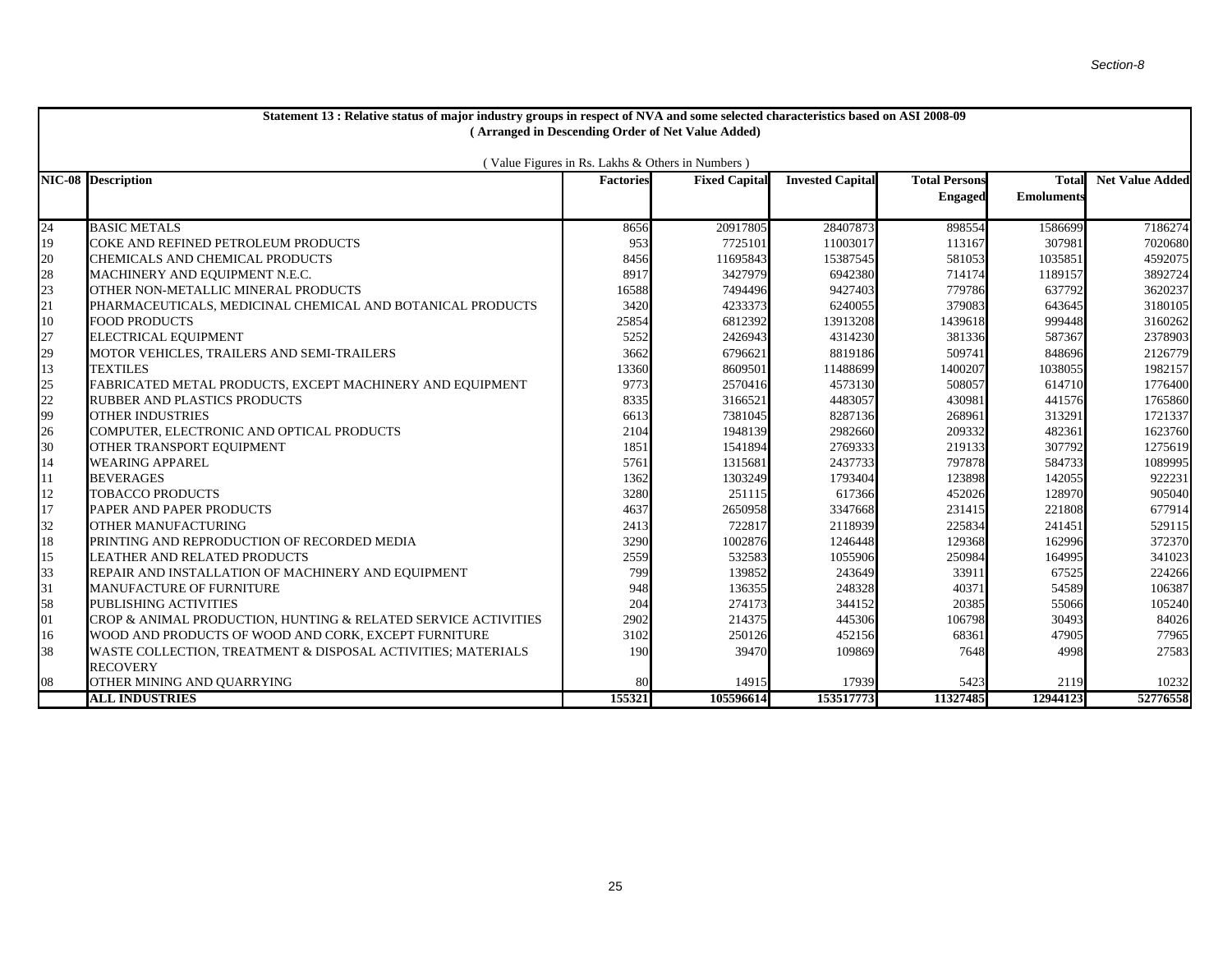| Statement 13 : Relative status of major industry groups in respect of NVA and some selected characteristics based on ASI 2008-09 |                                                                |                  |                      |                         |                      |                   |                        |  |  |  |  |  |  |
|----------------------------------------------------------------------------------------------------------------------------------|----------------------------------------------------------------|------------------|----------------------|-------------------------|----------------------|-------------------|------------------------|--|--|--|--|--|--|
| (Arranged in Descending Order of Net Value Added)                                                                                |                                                                |                  |                      |                         |                      |                   |                        |  |  |  |  |  |  |
|                                                                                                                                  |                                                                |                  |                      |                         |                      |                   |                        |  |  |  |  |  |  |
| (Value Figures in Rs. Lakhs & Others in Numbers)                                                                                 |                                                                |                  |                      |                         |                      |                   |                        |  |  |  |  |  |  |
|                                                                                                                                  | <b>NIC-08 Description</b>                                      | <b>Factories</b> | <b>Fixed Capital</b> | <b>Invested Capital</b> | <b>Total Persons</b> | Total             | <b>Net Value Added</b> |  |  |  |  |  |  |
|                                                                                                                                  |                                                                |                  |                      |                         | <b>Engaged</b>       | <b>Emoluments</b> |                        |  |  |  |  |  |  |
| 24                                                                                                                               | <b>BASIC METALS</b>                                            | 8656             | 20917805             | 28407873                | 898554               | 1586699           | 7186274                |  |  |  |  |  |  |
| 19                                                                                                                               | COKE AND REFINED PETROLEUM PRODUCTS                            | 953              | 7725101              | 11003017                | 113167               | 307981            | 7020680                |  |  |  |  |  |  |
| 20                                                                                                                               | CHEMICALS AND CHEMICAL PRODUCTS                                | 8456             | 11695843             | 15387545                | 581053               | 1035851           | 4592075                |  |  |  |  |  |  |
| $\frac{28}{23}$                                                                                                                  | MACHINERY AND EQUIPMENT N.E.C.                                 | 8917             | 3427979              | 6942380                 | 714174               | 1189157           | 3892724                |  |  |  |  |  |  |
|                                                                                                                                  | OTHER NON-METALLIC MINERAL PRODUCTS                            | 16588            | 7494496              | 9427403                 | 779786               | 637792            | 3620237                |  |  |  |  |  |  |
| 21                                                                                                                               | PHARMACEUTICALS, MEDICINAL CHEMICAL AND BOTANICAL PRODUCTS     | 3420             | 4233373              | 6240055                 | 379083               | 643645            | 3180105                |  |  |  |  |  |  |
| 10                                                                                                                               | <b>FOOD PRODUCTS</b>                                           | 25854            | 6812392              | 13913208                | 1439618              | 999448            | 3160262                |  |  |  |  |  |  |
| 27<br>29                                                                                                                         | ELECTRICAL EQUIPMENT                                           | 5252             | 2426943              | 4314230                 | 381336               | 587367            | 2378903                |  |  |  |  |  |  |
|                                                                                                                                  | MOTOR VEHICLES, TRAILERS AND SEMI-TRAILERS                     | 3662             | 6796621              | 8819186                 | 509741               | 848696            | 2126779                |  |  |  |  |  |  |
| 13                                                                                                                               | <b>TEXTILES</b>                                                | 13360            | 8609501              | 11488699                | 1400207              | 1038055           | 1982157                |  |  |  |  |  |  |
| 25                                                                                                                               | FABRICATED METAL PRODUCTS, EXCEPT MACHINERY AND EQUIPMENT      | 9773             | 2570416              | 4573130                 | 508057               | 614710            | 1776400                |  |  |  |  |  |  |
| 22                                                                                                                               | <b>RUBBER AND PLASTICS PRODUCTS</b>                            | 8335             | 3166521              | 4483057                 | 430981               | 441576            | 1765860                |  |  |  |  |  |  |
| 99                                                                                                                               | <b>OTHER INDUSTRIES</b>                                        | 6613             | 7381045              | 8287136                 | 268961               | 313291            | 1721337                |  |  |  |  |  |  |
| $\frac{26}{30}$                                                                                                                  | COMPUTER, ELECTRONIC AND OPTICAL PRODUCTS                      | 2104             | 1948139              | 2982660                 | 209332               | 482361            | 1623760                |  |  |  |  |  |  |
|                                                                                                                                  | OTHER TRANSPORT EQUIPMENT                                      | 1851             | 1541894              | 2769333                 | 219133               | 307792            | 1275619                |  |  |  |  |  |  |
| 14                                                                                                                               | <b>WEARING APPAREL</b>                                         | 5761             | 1315681              | 2437733                 | 797878               | 584733            | 1089995                |  |  |  |  |  |  |
| 11                                                                                                                               | <b>BEVERAGES</b>                                               | 1362             | 1303249              | 1793404                 | 123898               | 142055            | 922231                 |  |  |  |  |  |  |
| 12                                                                                                                               | <b>TOBACCO PRODUCTS</b>                                        | 3280             | 251115               | 617366                  | 452026               | 128970            | 905040                 |  |  |  |  |  |  |
| $17\,$                                                                                                                           | PAPER AND PAPER PRODUCTS                                       | 4637             | 2650958              | 3347668                 | 231415               | 221808            | 677914                 |  |  |  |  |  |  |
| 32                                                                                                                               | OTHER MANUFACTURING                                            | 2413             | 722817               | 2118939                 | 225834               | 241451            | 529115                 |  |  |  |  |  |  |
| 18                                                                                                                               | PRINTING AND REPRODUCTION OF RECORDED MEDIA                    | 3290             | 1002876              | 1246448                 | 129368               | 162996            | 372370                 |  |  |  |  |  |  |
| 15                                                                                                                               | LEATHER AND RELATED PRODUCTS                                   | 2559             | 532583               | 1055906                 | 250984               | 164995            | 341023                 |  |  |  |  |  |  |
| 33                                                                                                                               | REPAIR AND INSTALLATION OF MACHINERY AND EQUIPMENT             | 799              | 139852               | 243649                  | 33911                | 67525             | 224266                 |  |  |  |  |  |  |
| 31                                                                                                                               | <b>MANUFACTURE OF FURNITURE</b>                                | 948              | 136355               | 248328                  | 40371                | 54589             | 106387                 |  |  |  |  |  |  |
| 58                                                                                                                               | PUBLISHING ACTIVITIES                                          | 204              | 274173               | 344152                  | 20385                | 55066             | 105240                 |  |  |  |  |  |  |
| 01                                                                                                                               | CROP & ANIMAL PRODUCTION, HUNTING & RELATED SERVICE ACTIVITIES | 2902             | 214375               | 445306                  | 106798               | 30493             | 84026                  |  |  |  |  |  |  |
| 16                                                                                                                               | WOOD AND PRODUCTS OF WOOD AND CORK, EXCEPT FURNITURE           | 3102             | 250126               | 452156                  | 68361                | 47905             | 77965                  |  |  |  |  |  |  |
| 38                                                                                                                               | WASTE COLLECTION, TREATMENT & DISPOSAL ACTIVITIES; MATERIALS   | 190              | 39470                | 109869                  | 7648                 | 4998              | 27583                  |  |  |  |  |  |  |
|                                                                                                                                  | <b>RECOVERY</b>                                                |                  |                      |                         |                      |                   |                        |  |  |  |  |  |  |
| 08                                                                                                                               | OTHER MINING AND OUARRYING                                     | 80               | 14915                | 17939                   | 5423                 | 2119              | 10232                  |  |  |  |  |  |  |
|                                                                                                                                  | <b>ALL INDUSTRIES</b>                                          | 155321           | 105596614            | 153517773               | 11327485             | 12944123          | 52776558               |  |  |  |  |  |  |